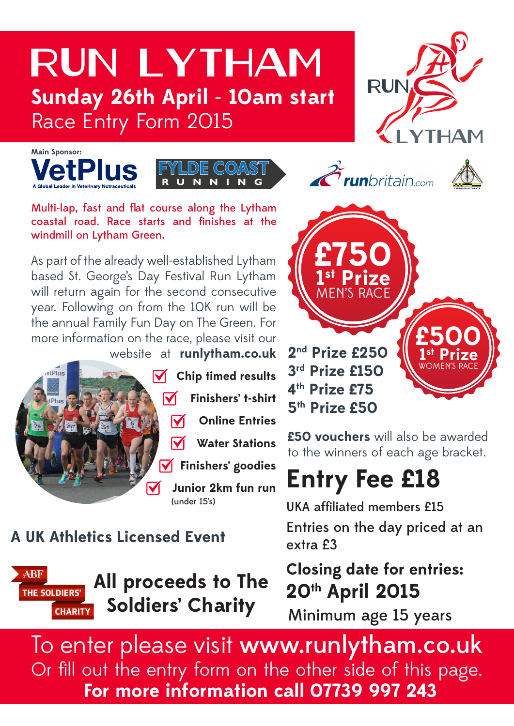## Run Lytham **Sunday 26th April** - **10am start** Race Entry Form 2015











**£500**

**1st Prize** WOMEN'S RACE

Multi-lap, fast and flat course along the Lytham coastal road. Race starts and finishes at the windmill on Lytham Green.

As part of the already well-established Lytham based St. George's Day Festival Run Lytham will return again for the second consecutive year. Following on from the 10K run will be the annual Family Fun Day on The Green. For more information on the race, please visit our website at **runlytham.co.uk** 



**A UK Athletics Licensed Event**



**All proceeds to The Soldiers' Charity**

**2nd Prize £250 3rd Prize £150 4th Prize £75 5th Prize £50**

**£750**

**1st Prize** MEN'S RACE

**£50 vouchers** will also be awarded to the winners of each age bracket.

# **Entry Fee £18**

Entries on the day priced at an extra £3 UKA affiliated members £15

**Closing date for entries: 20th April 2015**

Minimum age 15 years

To enter please visit www.runlytham.co.uk Or fill out the entry form on the other side of this page. **For more information call 07739 997 243**